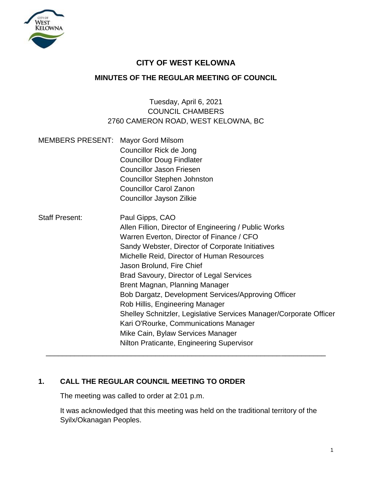

# **CITY OF WEST KELOWNA**

## **MINUTES OF THE REGULAR MEETING OF COUNCIL**

# Tuesday, April 6, 2021 COUNCIL CHAMBERS 2760 CAMERON ROAD, WEST KELOWNA, BC

| <b>MEMBERS PRESENT:</b> | <b>Mayor Gord Milsom</b><br>Councillor Rick de Jong<br><b>Councillor Doug Findlater</b><br><b>Councillor Jason Friesen</b><br><b>Councillor Stephen Johnston</b><br><b>Councillor Carol Zanon</b>                                                                                                                                                                                                                                                                                                                                                                                                                                    |
|-------------------------|--------------------------------------------------------------------------------------------------------------------------------------------------------------------------------------------------------------------------------------------------------------------------------------------------------------------------------------------------------------------------------------------------------------------------------------------------------------------------------------------------------------------------------------------------------------------------------------------------------------------------------------|
|                         | Councillor Jayson Zilkie                                                                                                                                                                                                                                                                                                                                                                                                                                                                                                                                                                                                             |
| <b>Staff Present:</b>   | Paul Gipps, CAO<br>Allen Fillion, Director of Engineering / Public Works<br>Warren Everton, Director of Finance / CFO<br>Sandy Webster, Director of Corporate Initiatives<br>Michelle Reid, Director of Human Resources<br>Jason Brolund, Fire Chief<br><b>Brad Savoury, Director of Legal Services</b><br>Brent Magnan, Planning Manager<br>Bob Dargatz, Development Services/Approving Officer<br>Rob Hillis, Engineering Manager<br>Shelley Schnitzler, Legislative Services Manager/Corporate Officer<br>Kari O'Rourke, Communications Manager<br>Mike Cain, Bylaw Services Manager<br>Nilton Praticante, Engineering Supervisor |

## **1. CALL THE REGULAR COUNCIL MEETING TO ORDER**

The meeting was called to order at 2:01 p.m.

It was acknowledged that this meeting was held on the traditional territory of the Syilx/Okanagan Peoples.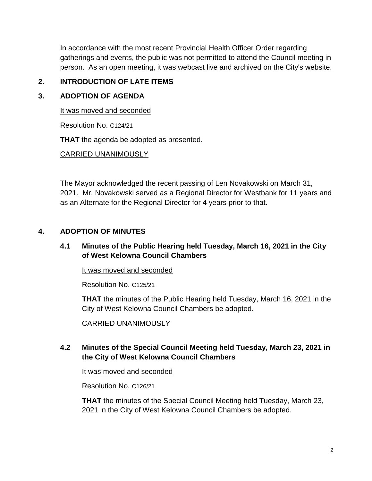In accordance with the most recent Provincial Health Officer Order regarding gatherings and events, the public was not permitted to attend the Council meeting in person. As an open meeting, it was webcast live and archived on the City's website.

## **2. INTRODUCTION OF LATE ITEMS**

## **3. ADOPTION OF AGENDA**

It was moved and seconded

Resolution No. C124/21

**THAT** the agenda be adopted as presented.

## CARRIED UNANIMOUSLY

The Mayor acknowledged the recent passing of Len Novakowski on March 31, 2021. Mr. Novakowski served as a Regional Director for Westbank for 11 years and as an Alternate for the Regional Director for 4 years prior to that.

## **4. ADOPTION OF MINUTES**

## **4.1 Minutes of the Public Hearing held Tuesday, March 16, 2021 in the City of West Kelowna Council Chambers**

It was moved and seconded

Resolution No. C125/21

**THAT** the minutes of the Public Hearing held Tuesday, March 16, 2021 in the City of West Kelowna Council Chambers be adopted.

## CARRIED UNANIMOUSLY

## **4.2 Minutes of the Special Council Meeting held Tuesday, March 23, 2021 in the City of West Kelowna Council Chambers**

It was moved and seconded

Resolution No. C126/21

**THAT** the minutes of the Special Council Meeting held Tuesday, March 23, 2021 in the City of West Kelowna Council Chambers be adopted.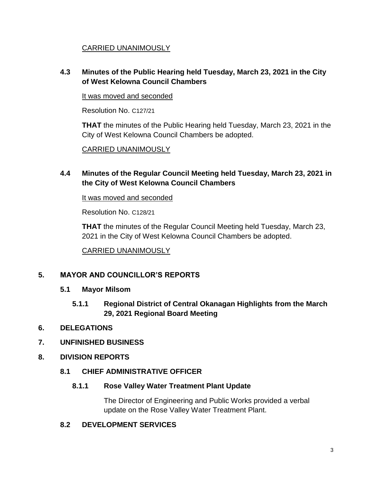## CARRIED UNANIMOUSLY

## **4.3 Minutes of the Public Hearing held Tuesday, March 23, 2021 in the City of West Kelowna Council Chambers**

It was moved and seconded

Resolution No. C127/21

**THAT** the minutes of the Public Hearing held Tuesday, March 23, 2021 in the City of West Kelowna Council Chambers be adopted.

CARRIED UNANIMOUSLY

## **4.4 Minutes of the Regular Council Meeting held Tuesday, March 23, 2021 in the City of West Kelowna Council Chambers**

It was moved and seconded

Resolution No. C128/21

**THAT** the minutes of the Regular Council Meeting held Tuesday, March 23, 2021 in the City of West Kelowna Council Chambers be adopted.

CARRIED UNANIMOUSLY

## **5. MAYOR AND COUNCILLOR'S REPORTS**

- **5.1 Mayor Milsom**
	- **5.1.1 Regional District of Central Okanagan Highlights from the March 29, 2021 Regional Board Meeting**

## **6. DELEGATIONS**

## **7. UNFINISHED BUSINESS**

**8. DIVISION REPORTS**

## **8.1 CHIEF ADMINISTRATIVE OFFICER**

#### **8.1.1 Rose Valley Water Treatment Plant Update**

The Director of Engineering and Public Works provided a verbal update on the Rose Valley Water Treatment Plant.

#### **8.2 DEVELOPMENT SERVICES**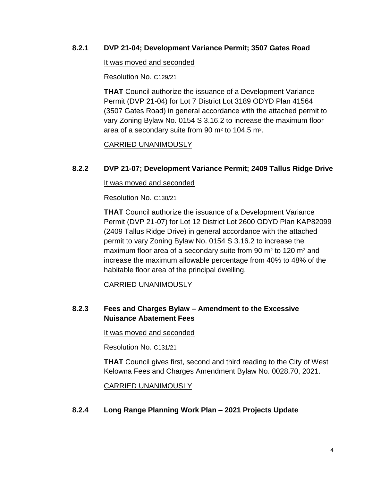### **8.2.1 DVP 21-04; Development Variance Permit; 3507 Gates Road**

#### It was moved and seconded

Resolution No. C129/21

**THAT** Council authorize the issuance of a Development Variance Permit (DVP 21-04) for Lot 7 District Lot 3189 ODYD Plan 41564 (3507 Gates Road) in general accordance with the attached permit to vary Zoning Bylaw No. 0154 S 3.16.2 to increase the maximum floor area of a secondary suite from 90  $m<sup>2</sup>$  to 104.5 m<sup>2</sup>.

### CARRIED UNANIMOUSLY

## **8.2.2 DVP 21-07; Development Variance Permit; 2409 Tallus Ridge Drive**

It was moved and seconded

Resolution No. C130/21

**THAT** Council authorize the issuance of a Development Variance Permit (DVP 21-07) for Lot 12 District Lot 2600 ODYD Plan KAP82099 (2409 Tallus Ridge Drive) in general accordance with the attached permit to vary Zoning Bylaw No. 0154 S 3.16.2 to increase the maximum floor area of a secondary suite from 90 m<sup>2</sup> to 120 m<sup>2</sup> and increase the maximum allowable percentage from 40% to 48% of the habitable floor area of the principal dwelling.

CARRIED UNANIMOUSLY

## **8.2.3 Fees and Charges Bylaw – Amendment to the Excessive Nuisance Abatement Fees**

It was moved and seconded

Resolution No. C131/21

**THAT** Council gives first, second and third reading to the City of West Kelowna Fees and Charges Amendment Bylaw No. 0028.70, 2021.

CARRIED UNANIMOUSLY

#### **8.2.4 Long Range Planning Work Plan – 2021 Projects Update**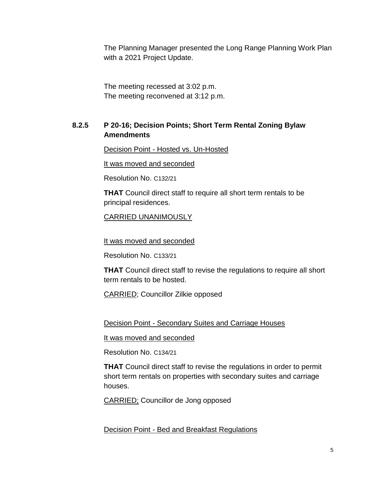The Planning Manager presented the Long Range Planning Work Plan with a 2021 Project Update.

The meeting recessed at 3:02 p.m. The meeting reconvened at 3:12 p.m.

## **8.2.5 P 20-16; Decision Points; Short Term Rental Zoning Bylaw Amendments**

Decision Point - Hosted vs. Un-Hosted

It was moved and seconded

Resolution No. C132/21

**THAT** Council direct staff to require all short term rentals to be principal residences.

CARRIED UNANIMOUSLY

It was moved and seconded

Resolution No. C133/21

**THAT** Council direct staff to revise the regulations to require all short term rentals to be hosted.

CARRIED; Councillor Zilkie opposed

Decision Point - Secondary Suites and Carriage Houses

It was moved and seconded

Resolution No. C134/21

**THAT** Council direct staff to revise the regulations in order to permit short term rentals on properties with secondary suites and carriage houses.

CARRIED; Councillor de Jong opposed

Decision Point - Bed and Breakfast Regulations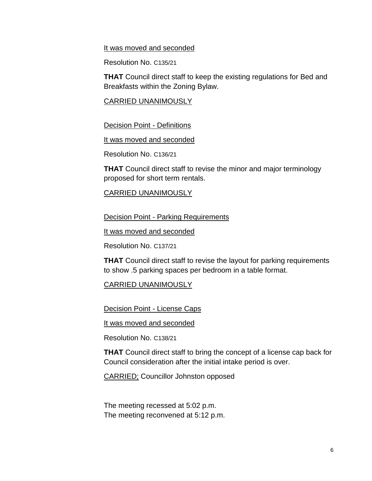#### It was moved and seconded

Resolution No. C135/21

**THAT** Council direct staff to keep the existing regulations for Bed and Breakfasts within the Zoning Bylaw.

CARRIED UNANIMOUSLY

Decision Point - Definitions

It was moved and seconded

Resolution No. C136/21

**THAT** Council direct staff to revise the minor and major terminology proposed for short term rentals.

### CARRIED UNANIMOUSLY

**Decision Point - Parking Requirements** 

It was moved and seconded

Resolution No. C137/21

**THAT** Council direct staff to revise the layout for parking requirements to show .5 parking spaces per bedroom in a table format.

CARRIED UNANIMOUSLY

**Decision Point - License Caps** 

It was moved and seconded

Resolution No. C138/21

**THAT** Council direct staff to bring the concept of a license cap back for Council consideration after the initial intake period is over.

CARRIED; Councillor Johnston opposed

The meeting recessed at 5:02 p.m. The meeting reconvened at 5:12 p.m.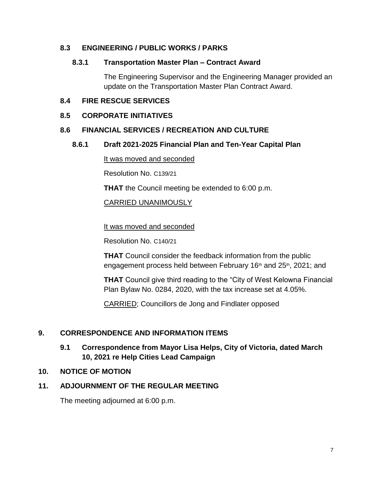## **8.3 ENGINEERING / PUBLIC WORKS / PARKS**

#### **8.3.1 Transportation Master Plan – Contract Award**

The Engineering Supervisor and the Engineering Manager provided an update on the Transportation Master Plan Contract Award.

#### **8.4 FIRE RESCUE SERVICES**

#### **8.5 CORPORATE INITIATIVES**

#### **8.6 FINANCIAL SERVICES / RECREATION AND CULTURE**

#### **8.6.1 Draft 2021-2025 Financial Plan and Ten-Year Capital Plan**

It was moved and seconded

Resolution No. C139/21

**THAT** the Council meeting be extended to 6:00 p.m.

CARRIED UNANIMOUSLY

It was moved and seconded

Resolution No. C140/21

**THAT** Council consider the feedback information from the public engagement process held between February 16<sup>th</sup> and 25<sup>th</sup>, 2021; and

**THAT** Council give third reading to the "City of West Kelowna Financial Plan Bylaw No. 0284, 2020, with the tax increase set at 4.05%.

CARRIED; Councillors de Jong and Findlater opposed

## **9. CORRESPONDENCE AND INFORMATION ITEMS**

## **9.1 Correspondence from Mayor Lisa Helps, City of Victoria, dated March 10, 2021 re Help Cities Lead Campaign**

#### **10. NOTICE OF MOTION**

## **11. ADJOURNMENT OF THE REGULAR MEETING**

The meeting adjourned at 6:00 p.m.